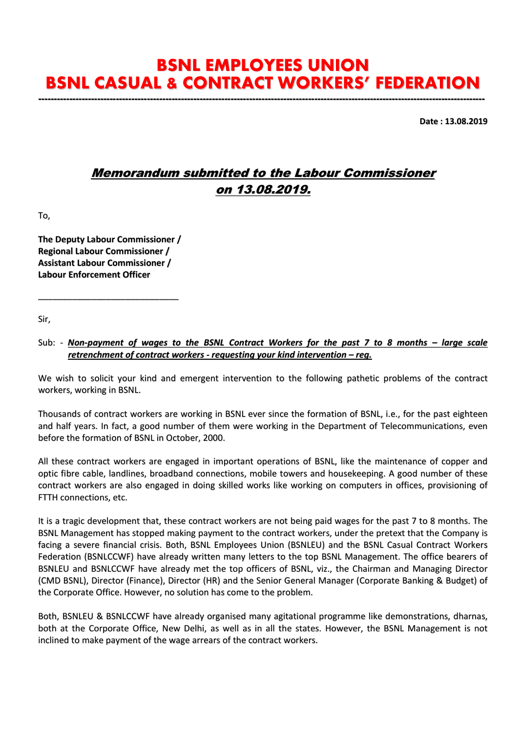## BSNL EMPLOYEES UNION BSNL CASUAL & CONTRACT WORKERS' FEDERATION

------------------------------------------------------------------------------------------------------------------------------------------------

Date : 13.08.2019

## Memorandum submitted to the Labour Commissioner on 13.08.2019.

To,

The Deputy Labour Commissioner / Regional Labour Commissioner / Assistant Labour Commissioner / Labour Enforcement Officer

\_\_\_\_\_\_\_\_\_\_\_\_\_\_\_\_\_\_\_\_\_\_\_\_\_\_\_\_\_

Sir,

## Sub: - *Non-payment of wages to the BSNL Contract Workers for the past 7 to 8 months – large scale retrenchment of contract workers - requesting your kind intervention – reg.*

We wish to solicit your kind and emergent intervention to the following pathetic problems of the contract workers, working in BSNL.

Thousands of contract workers are working in BSNL ever since the formation of BSNL, i.e., for the past eighteen and half years. In fact, a good number of them were working in the Department of Telecommunications, even before the formation of BSNL in October, 2000.

All these contract workers are engaged in important operations of BSNL, like the maintenance of copper and optic fibre cable, landlines, broadband connections, mobile towers and housekeeping. A good number of these contract workers are also engaged in doing skilled works like working on computers in offices, provisioning of FTTH connections, etc.

It is a tragic development that, these contract workers are not being paid wages for the past 7 to 8 months. The BSNL Management has stopped making payment to the contract workers, under the pretext that the Company is facing a severe financial crisis. Both, BSNL Employees Union (BSNLEU) and the BSNL Casual Contract Workers Federation (BSNLCCWF) have already written many letters to the top BSNL Management. The office bearers of BSNLEU and BSNLCCWF have already met the top officers of BSNL, viz., the Chairman and Managing Director (CMD BSNL), Director (Finance), Director (HR) and the Senior General Manager (Corporate Banking & Budget) of the Corporate Office. However, no solution has come to the problem.

Both, BSNLEU & BSNLCCWF have already organised many agitational programme like demonstrations, dharnas, both at the Corporate Office, New Delhi, as well as in all the states. However, the BSNL Management is not inclined to make payment of the wage arrears of the contract workers.